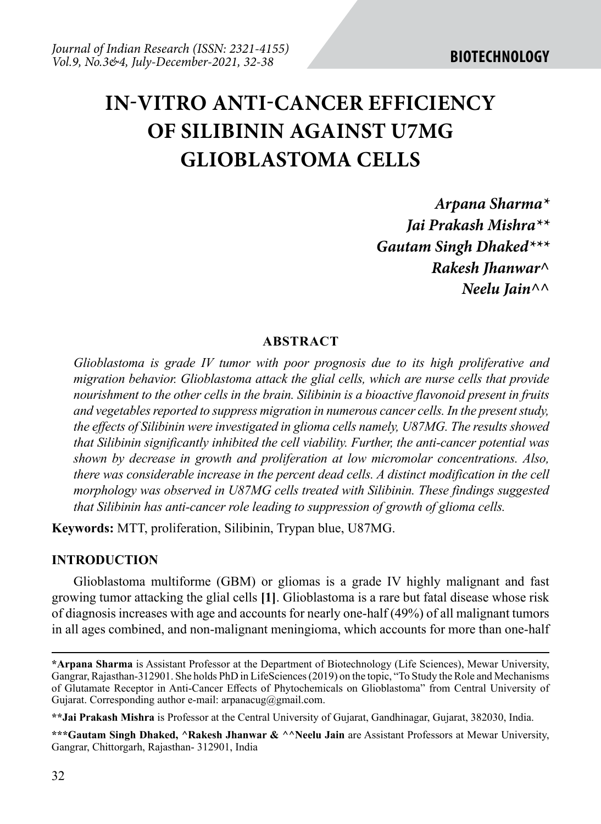# **IN-VITRO ANTI-CANCER EFFICIENCY OF SILIBININ AGAINST U7MG GLIOBLASTOMA CELLS**

*Arpana Sharma\* Jai Prakash Mishra\*\* Gautam Singh Dhaked\*\*\* Rakesh Jhanwar^ Neelu Jain^^*

### **ABSTRACT**

*Glioblastoma is grade IV tumor with poor prognosis due to its high proliferative and migration behavior. Glioblastoma attack the glial cells, which are nurse cells that provide nourishment to the other cells in the brain. Silibinin is a bioactive flavonoid present in fruits and vegetables reported to suppress migration in numerous cancer cells. In the present study, the effects of Silibinin were investigated in glioma cells namely, U87MG. The results showed that Silibinin significantly inhibited the cell viability. Further, the anti-cancer potential was shown by decrease in growth and proliferation at low micromolar concentrations. Also, there was considerable increase in the percent dead cells. A distinct modification in the cell morphology was observed in U87MG cells treated with Silibinin. These findings suggested that Silibinin has anti-cancer role leading to suppression of growth of glioma cells.* 

**Keywords:** MTT, proliferation, Silibinin, Trypan blue, U87MG.

### **INTRODUCTION**

Glioblastoma multiforme (GBM) or gliomas is a grade IV highly malignant and fast growing tumor attacking the glial cells **[1]**. Glioblastoma is a rare but fatal disease whose risk of diagnosis increases with age and accounts for nearly one-half (49%) of all malignant tumors in all ages combined, and non-malignant meningioma, which accounts for more than one-half

**<sup>\*</sup>Arpana Sharma** is Assistant Professor at the Department of Biotechnology (Life Sciences), Mewar University, Gangrar, Rajasthan-312901. She holds PhD in LifeSciences (2019) on the topic, "To Study the Role and Mechanisms of Glutamate Receptor in Anti-Cancer Effects of Phytochemicals on Glioblastoma" from Central University of Gujarat. Corresponding author e-mail: arpanacug@gmail.com.

**<sup>\*\*</sup>Jai Prakash Mishra** is Professor at the Central University of Gujarat, Gandhinagar, Gujarat, 382030, India.

**<sup>\*\*\*</sup>Gautam Singh Dhaked, ^Rakesh Jhanwar & ^^Neelu Jain** are Assistant Professors at Mewar University, Gangrar, Chittorgarh, Rajasthan- 312901, India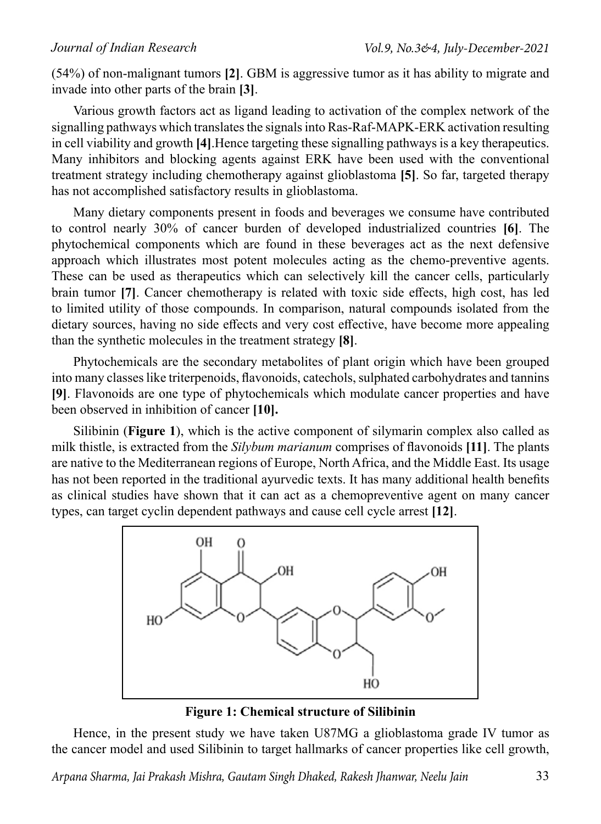(54%) of non-malignant tumors **[2]**. GBM is aggressive tumor as it has ability to migrate and invade into other parts of the brain **[3]**.

Various growth factors act as ligand leading to activation of the complex network of the signalling pathways which translates the signals into Ras-Raf-MAPK-ERK activation resulting in cell viability and growth **[4]**.Hence targeting these signalling pathways is a key therapeutics. Many inhibitors and blocking agents against ERK have been used with the conventional treatment strategy including chemotherapy against glioblastoma **[5]**. So far, targeted therapy has not accomplished satisfactory results in glioblastoma.

Many dietary components present in foods and beverages we consume have contributed to control nearly 30% of cancer burden of developed industrialized countries **[6]**. The phytochemical components which are found in these beverages act as the next defensive approach which illustrates most potent molecules acting as the chemo-preventive agents. These can be used as therapeutics which can selectively kill the cancer cells, particularly brain tumor **[7]**. Cancer chemotherapy is related with toxic side effects, high cost, has led to limited utility of those compounds. In comparison, natural compounds isolated from the dietary sources, having no side effects and very cost effective, have become more appealing than the synthetic molecules in the treatment strategy **[8]**.

Phytochemicals are the secondary metabolites of plant origin which have been grouped into many classes like triterpenoids, flavonoids, catechols, sulphated carbohydrates and tannins **[9]**. Flavonoids are one type of phytochemicals which modulate cancer properties and have been observed in inhibition of cancer **[10].**

Silibinin (**Figure 1**), which is the active component of silymarin complex also called as milk thistle, is extracted from the *Silybum marianum* comprises of flavonoids **[11]**. The plants are native to the Mediterranean regions of Europe, North Africa, and the Middle East. Its usage has not been reported in the traditional ayurvedic texts. It has many additional health benefits as clinical studies have shown that it can act as a chemopreventive agent on many cancer types, can target cyclin dependent pathways and cause cell cycle arrest **[12]**.



**Figure 1: Chemical structure of Silibinin**

Hence, in the present study we have taken U87MG a glioblastoma grade IV tumor as the cancer model and used Silibinin to target hallmarks of cancer properties like cell growth,

*Arpana Sharma, Jai Prakash Mishra, Gautam Singh Dhaked, Rakesh Jhanwar, Neelu Jain*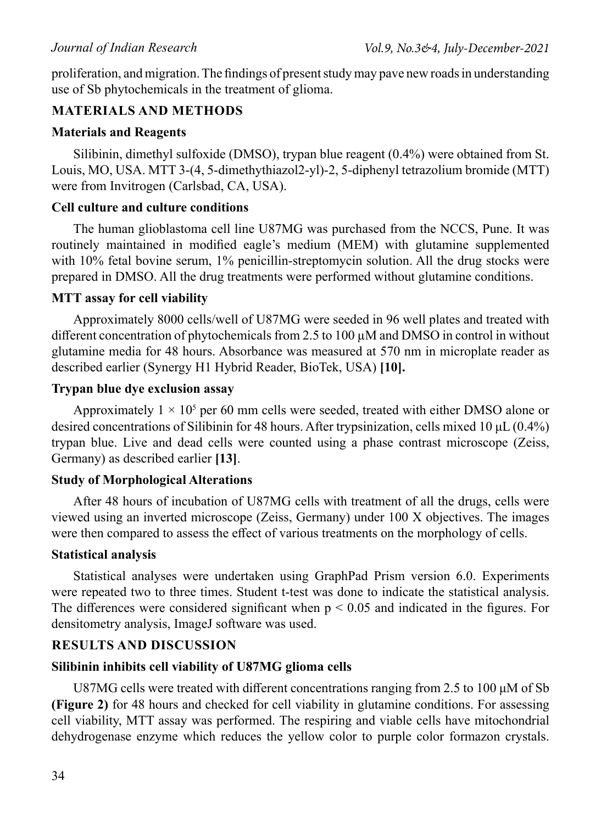proliferation, and migration. The findings of present study may pave new roads in understanding use of Sb phytochemicals in the treatment of glioma.

# **Materials and Methods**

### **Materials and Reagents**

Silibinin, dimethyl sulfoxide (DMSO), trypan blue reagent (0.4%) were obtained from St. Louis, MO, USA. MTT 3-(4, 5-dimethythiazol2-yl)-2, 5-diphenyl tetrazolium bromide (MTT) were from Invitrogen (Carlsbad, CA, USA).

# **Cell culture and culture conditions**

The human glioblastoma cell line U87MG was purchased from the NCCS, Pune. It was routinely maintained in modified eagle's medium (MEM) with glutamine supplemented with 10% fetal bovine serum, 1% penicillin-streptomycin solution. All the drug stocks were prepared in DMSO. All the drug treatments were performed without glutamine conditions.

# **MTT assay for cell viability**

Approximately 8000 cells/well of U87MG were seeded in 96 well plates and treated with different concentration of phytochemicals from 2.5 to 100 µM and DMSO in control in without glutamine media for 48 hours. Absorbance was measured at 570 nm in microplate reader as described earlier (Synergy H1 Hybrid Reader, BioTek, USA) **[10].**

# **Trypan blue dye exclusion assay**

Approximately  $1 \times 10^5$  per 60 mm cells were seeded, treated with either DMSO alone or desired concentrations of Silibinin for 48 hours. After trypsinization, cells mixed 10 μL (0.4%) trypan blue. Live and dead cells were counted using a phase contrast microscope (Zeiss, Germany) as described earlier **[13]**.

# **Study of Morphological Alterations**

After 48 hours of incubation of U87MG cells with treatment of all the drugs, cells were viewed using an inverted microscope (Zeiss, Germany) under 100 X objectives. The images were then compared to assess the effect of various treatments on the morphology of cells.

### **Statistical analysis**

Statistical analyses were undertaken using GraphPad Prism version 6.0. Experiments were repeated two to three times. Student t-test was done to indicate the statistical analysis. The differences were considered significant when  $p \le 0.05$  and indicated in the figures. For densitometry analysis, ImageJ software was used.

# **Results and Discussion**

# **Silibinin inhibits cell viability of U87MG glioma cells**

U87MG cells were treated with different concentrations ranging from 2.5 to 100 μM of Sb **(Figure 2)** for 48 hours and checked for cell viability in glutamine conditions. For assessing cell viability, MTT assay was performed. The respiring and viable cells have mitochondrial dehydrogenase enzyme which reduces the yellow color to purple color formazon crystals.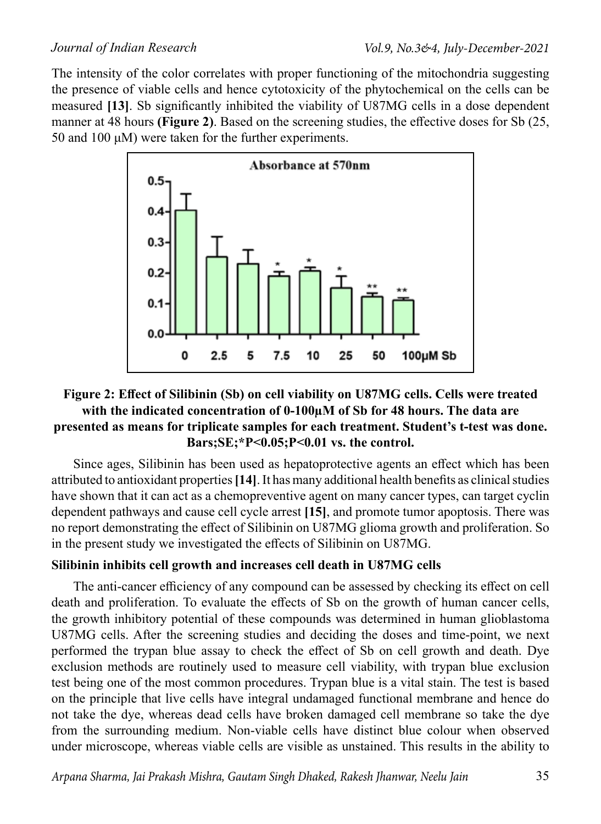The intensity of the color correlates with proper functioning of the mitochondria suggesting the presence of viable cells and hence cytotoxicity of the phytochemical on the cells can be measured **[13]**. Sb significantly inhibited the viability of U87MG cells in a dose dependent manner at 48 hours **(Figure 2)**. Based on the screening studies, the effective doses for Sb (25, 50 and 100 μM) were taken for the further experiments.



# **Figure 2: Effect of Silibinin (Sb) on cell viability on U87MG cells. Cells were treated with the indicated concentration of 0-100µM of Sb for 48 hours. The data are presented as means for triplicate samples for each treatment. Student's t-test was done. Bars;SE;\*P<0.05;P<0.01 vs. the control.**

Since ages, Silibinin has been used as hepatoprotective agents an effect which has been attributed to antioxidant properties **[14]**. It has many additional health benefits as clinical studies have shown that it can act as a chemopreventive agent on many cancer types, can target cyclin dependent pathways and cause cell cycle arrest **[15]**, and promote tumor apoptosis. There was no report demonstrating the effect of Silibinin on U87MG glioma growth and proliferation. So in the present study we investigated the effects of Silibinin on U87MG.

# **Silibinin inhibits cell growth and increases cell death in U87MG cells**

The anti-cancer efficiency of any compound can be assessed by checking its effect on cell death and proliferation. To evaluate the effects of Sb on the growth of human cancer cells, the growth inhibitory potential of these compounds was determined in human glioblastoma U87MG cells. After the screening studies and deciding the doses and time-point, we next performed the trypan blue assay to check the effect of Sb on cell growth and death. Dye exclusion methods are routinely used to measure cell viability, with trypan blue exclusion test being one of the most common procedures. Trypan blue is a vital stain. The test is based on the principle that live cells have integral undamaged functional membrane and hence do not take the dye, whereas dead cells have broken damaged cell membrane so take the dye from the surrounding medium. Non-viable cells have distinct blue colour when observed under microscope, whereas viable cells are visible as unstained. This results in the ability to

*Arpana Sharma, Jai Prakash Mishra, Gautam Singh Dhaked, Rakesh Jhanwar, Neelu Jain*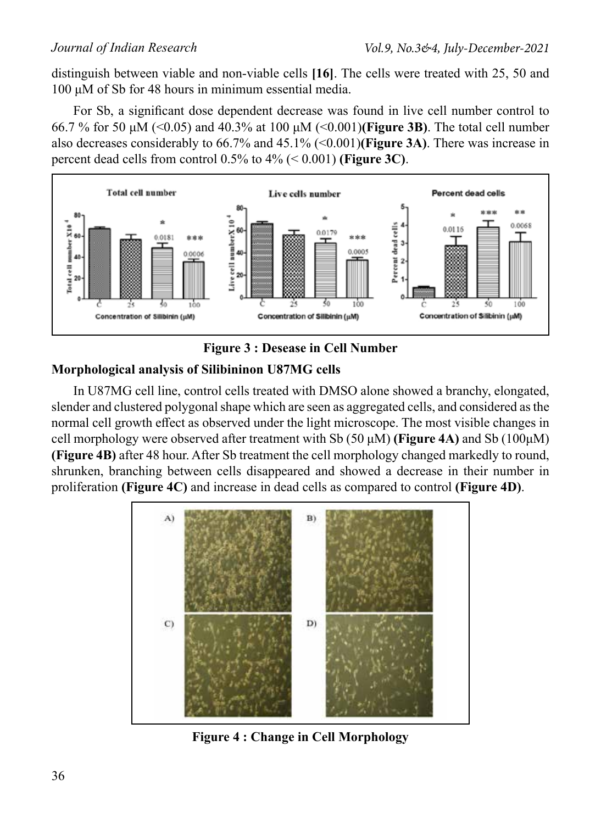distinguish between viable and non-viable cells **[16]**. The cells were treated with 25, 50 and 100 μM of Sb for 48 hours in minimum essential media.

For Sb, a significant dose dependent decrease was found in live cell number control to 66.7 % for 50 μM (<0.05) and 40.3% at 100 μM (<0.001)**(Figure 3B)**. The total cell number also decreases considerably to 66.7% and 45.1% (<0.001)**(Figure 3A)**. There was increase in percent dead cells from control 0.5% to 4% (< 0.001) **(Figure 3C)**.





# **Morphological analysis of Silibininon U87MG cells**

In U87MG cell line, control cells treated with DMSO alone showed a branchy, elongated, slender and clustered polygonal shape which are seen as aggregated cells, and considered as the normal cell growth effect as observed under the light microscope. The most visible changes in cell morphology were observed after treatment with Sb (50 μM) **(Figure 4A)** and Sb (100μM) **(Figure 4B)** after 48 hour. After Sb treatment the cell morphology changed markedly to round, shrunken, branching between cells disappeared and showed a decrease in their number in proliferation **(Figure 4C)** and increase in dead cells as compared to control **(Figure 4D)**.



**Figure 4 : Change in Cell Morphology**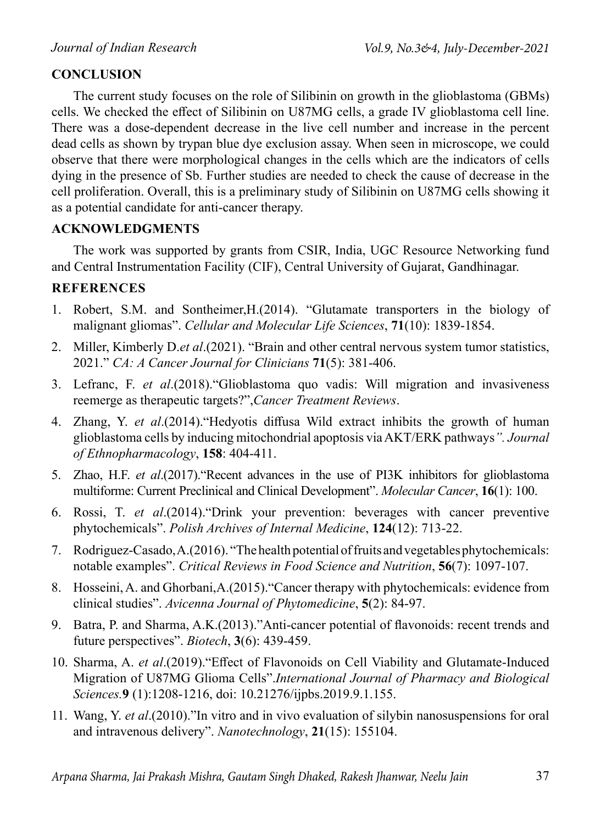# **CONCLUSION**

The current study focuses on the role of Silibinin on growth in the glioblastoma (GBMs) cells. We checked the effect of Silibinin on U87MG cells, a grade IV glioblastoma cell line. There was a dose-dependent decrease in the live cell number and increase in the percent dead cells as shown by trypan blue dye exclusion assay. When seen in microscope, we could observe that there were morphological changes in the cells which are the indicators of cells dying in the presence of Sb. Further studies are needed to check the cause of decrease in the cell proliferation. Overall, this is a preliminary study of Silibinin on U87MG cells showing it as a potential candidate for anti-cancer therapy.

# **ACKNOWLEDGMENTS**

The work was supported by grants from CSIR, India, UGC Resource Networking fund and Central Instrumentation Facility (CIF), Central University of Gujarat, Gandhinagar.

# **References**

- 1. Robert, S.M. and Sontheimer,H.(2014). "Glutamate transporters in the biology of malignant gliomas". *Cellular and Molecular Life Sciences*, **71**(10): 1839-1854.
- 2. Miller, Kimberly D.*et al*.(2021). "Brain and other central nervous system tumor statistics, 2021." *CA: A Cancer Journal for Clinicians* **71**(5): 381-406.
- 3. Lefranc, F. *et al*.(2018)."Glioblastoma quo vadis: Will migration and invasiveness reemerge as therapeutic targets?",*Cancer Treatment Reviews*.
- 4. Zhang, Y. *et al*.(2014)."Hedyotis diffusa Wild extract inhibits the growth of human glioblastoma cells by inducing mitochondrial apoptosis via AKT/ERK pathways*". Journal of Ethnopharmacology*, **158**: 404-411.
- 5. Zhao, H.F. *et al*.(2017)."Recent advances in the use of PI3K inhibitors for glioblastoma multiforme: Current Preclinical and Clinical Development". *Molecular Cancer*, **16**(1): 100.
- 6. Rossi, T. *et al*.(2014)."Drink your prevention: beverages with cancer preventive phytochemicals". *Polish Archives of Internal Medicine*, **124**(12): 713-22.
- 7. Rodriguez-Casado, A.(2016). "The health potential of fruits and vegetables phytochemicals: notable examples". *Critical Reviews in Food Science and Nutrition*, **56**(7): 1097-107.
- 8. Hosseini, A. and Ghorbani,A.(2015)."Cancer therapy with phytochemicals: evidence from clinical studies". *Avicenna Journal of Phytomedicine*, **5**(2): 84-97.
- 9. Batra, P. and Sharma, A.K.(2013)."Anti-cancer potential of flavonoids: recent trends and future perspectives". *Biotech*, **3**(6): 439-459.
- 10. Sharma, A. *et al*.(2019)."Effect of Flavonoids on Cell Viability and Glutamate-Induced Migration of U87MG Glioma Cells".*International Journal of Pharmacy and Biological Sciences.***9** (1):1208-1216, doi: 10.21276/ijpbs.2019.9.1.155.
- 11. Wang, Y. *et al*.(2010)."In vitro and in vivo evaluation of silybin nanosuspensions for oral and intravenous delivery". *Nanotechnology*, **21**(15): 155104.